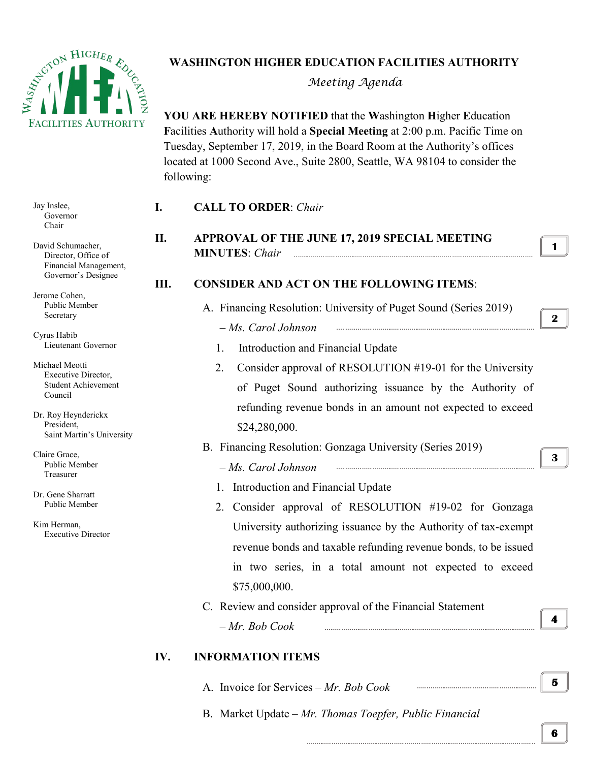

## **WASHINGTON HIGHER EDUCATION FACILITIES AUTHORITY**

*Meeting Agenda*

**YOU ARE HEREBY NOTIFIED** that the **W**ashington **H**igher **E**ducation **F**acilities **A**uthority will hold a **Special Meeting** at 2:00 p.m. Pacific Time on Tuesday, September 17, 2019, in the Board Room at the Authority's offices located at 1000 Second Ave., Suite 2800, Seattle, WA 98104 to consider the following:

| Jay Inslee,<br>Governor<br>Chair                                                                                                        | I.  | <b>CALL TO ORDER: Chair</b>                                                                                                                                                                                   |              |
|-----------------------------------------------------------------------------------------------------------------------------------------|-----|---------------------------------------------------------------------------------------------------------------------------------------------------------------------------------------------------------------|--------------|
| David Schumacher,<br>Director, Office of<br>Financial Management,<br>Governor's Designee<br>Jerome Cohen,<br>Public Member<br>Secretary | II. | APPROVAL OF THE JUNE 17, 2019 SPECIAL MEETING<br><b>MINUTES: Chair</b>                                                                                                                                        | $\mathbf{1}$ |
|                                                                                                                                         | Ш.  | <b>CONSIDER AND ACT ON THE FOLLOWING ITEMS:</b><br>A. Financing Resolution: University of Puget Sound (Series 2019)                                                                                           | $\mathbf{2}$ |
| Cyrus Habib<br>Lieutenant Governor                                                                                                      |     | - Ms. Carol Johnson<br>Introduction and Financial Update<br>1.                                                                                                                                                |              |
| Michael Meotti<br>Executive Director,<br><b>Student Achievement</b><br>Council                                                          |     | Consider approval of RESOLUTION #19-01 for the University<br>2.<br>of Puget Sound authorizing issuance by the Authority of                                                                                    |              |
| Dr. Roy Heynderickx<br>President,<br>Saint Martin's University                                                                          |     | refunding revenue bonds in an amount not expected to exceed<br>\$24,280,000.                                                                                                                                  |              |
| Claire Grace,<br>Public Member<br>Treasurer                                                                                             |     | B. Financing Resolution: Gonzaga University (Series 2019)<br>- Ms. Carol Johnson                                                                                                                              | 3            |
| Dr. Gene Sharratt<br>Public Member                                                                                                      |     | Introduction and Financial Update<br>Consider approval of RESOLUTION #19-02 for Gonzaga<br>2.                                                                                                                 |              |
| Kim Herman,<br><b>Executive Director</b>                                                                                                |     | University authorizing issuance by the Authority of tax-exempt<br>revenue bonds and taxable refunding revenue bonds, to be issued<br>in two series, in a total amount not expected to exceed<br>\$75,000,000. |              |
|                                                                                                                                         |     | C. Review and consider approval of the Financial Statement<br>$-Mr. Bob Cook$                                                                                                                                 | 4            |
|                                                                                                                                         | IV. | <b>INFORMATION ITEMS</b>                                                                                                                                                                                      |              |
|                                                                                                                                         |     | A. Invoice for Services – Mr. Bob Cook                                                                                                                                                                        | 5            |

B. Market Update *– Mr. Thomas Toepfer, Public Financial*

**6**